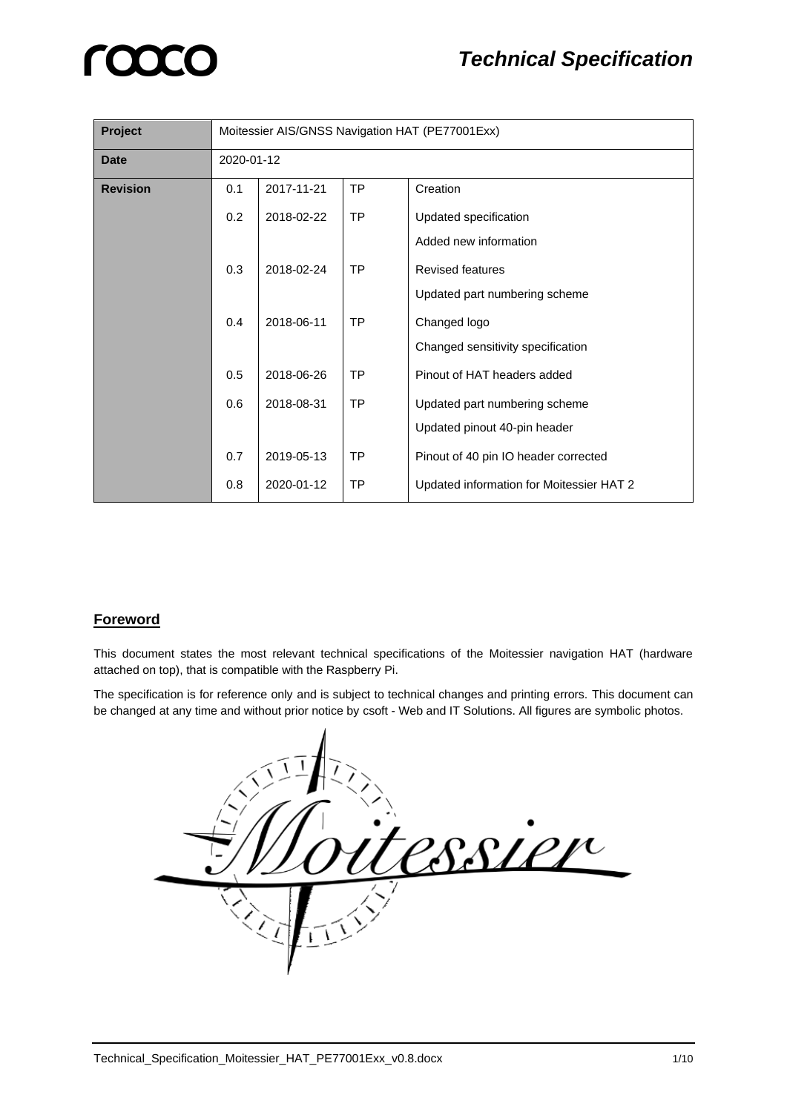| Project         | Moitessier AIS/GNSS Navigation HAT (PE77001Exx) |            |           |                                          |
|-----------------|-------------------------------------------------|------------|-----------|------------------------------------------|
| <b>Date</b>     | 2020-01-12                                      |            |           |                                          |
| <b>Revision</b> | 0.1                                             | 2017-11-21 | <b>TP</b> | Creation                                 |
|                 | 0.2                                             | 2018-02-22 | <b>TP</b> | Updated specification                    |
|                 |                                                 |            |           | Added new information                    |
|                 | 0.3                                             | 2018-02-24 | <b>TP</b> | <b>Revised features</b>                  |
|                 |                                                 |            |           | Updated part numbering scheme            |
|                 | 0.4                                             | 2018-06-11 | <b>TP</b> | Changed logo                             |
|                 |                                                 |            |           | Changed sensitivity specification        |
|                 | 0.5                                             | 2018-06-26 | <b>TP</b> | Pinout of HAT headers added              |
|                 | 0.6                                             | 2018-08-31 | <b>TP</b> | Updated part numbering scheme            |
|                 |                                                 |            |           | Updated pinout 40-pin header             |
|                 | 0.7                                             | 2019-05-13 | TP        | Pinout of 40 pin IO header corrected     |
|                 | 0.8                                             | 2020-01-12 | <b>TP</b> | Updated information for Moitessier HAT 2 |

#### **Foreword**

This document states the most relevant technical specifications of the Moitessier navigation HAT (hardware attached on top), that is compatible with the Raspberry Pi.

The specification is for reference only and is subject to technical changes and printing errors. This document can be changed at any time and without prior notice by csoft - Web and IT Solutions. All figures are symbolic photos.

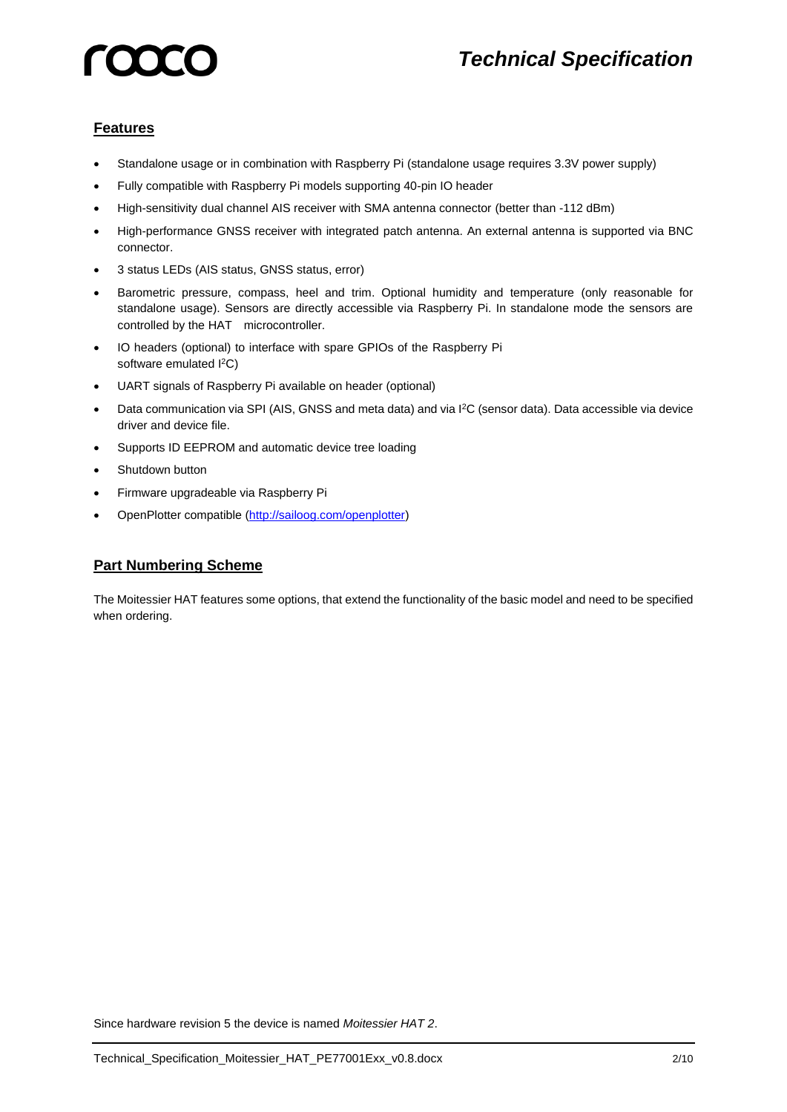### *Technical Specification*

### **Features**

- Standalone usage or in combination with Raspberry Pi (standalone usage requires 3.3V power supply)
- Fully compatible with Raspberry Pi models supporting 40-pin IO header
- High-sensitivity dual channel AIS receiver with SMA antenna connector (better than -112 dBm)
- High-performance GNSS receiver with integrated patch antenna. An external antenna is supported via BNC connector.
- 3 status LEDs (AIS status, GNSS status, error)
- Barometric pressure, compass, heel and trim. Optional humidity and temperature (only reasonable for standalone usage). Sensors are directly accessible via Raspberry Pi. In standalone mode the sensors are controlled by the HAT microcontroller.
- IO headers (optional) to interface with spare GPIOs of the Raspberry Pi software emulated  $1^2C$ )
- UART signals of Raspberry Pi available on header (optional)
- Data communication via SPI (AIS, GNSS and meta data) and via I<sup>2</sup>C (sensor data). Data accessible via device driver and device file.
- Supports ID EEPROM and automatic device tree loading
- Shutdown button
- Firmware upgradeable via Raspberry Pi
- OpenPlotter compatible [\(http://sailoog.com/openplotter\)](http://sailoog.com/openplotter)

### **Part Numbering Scheme**

The Moitessier HAT features some options, that extend the functionality of the basic model and need to be specified when ordering.

Since hardware revision 5 the device is named *Moitessier HAT 2*.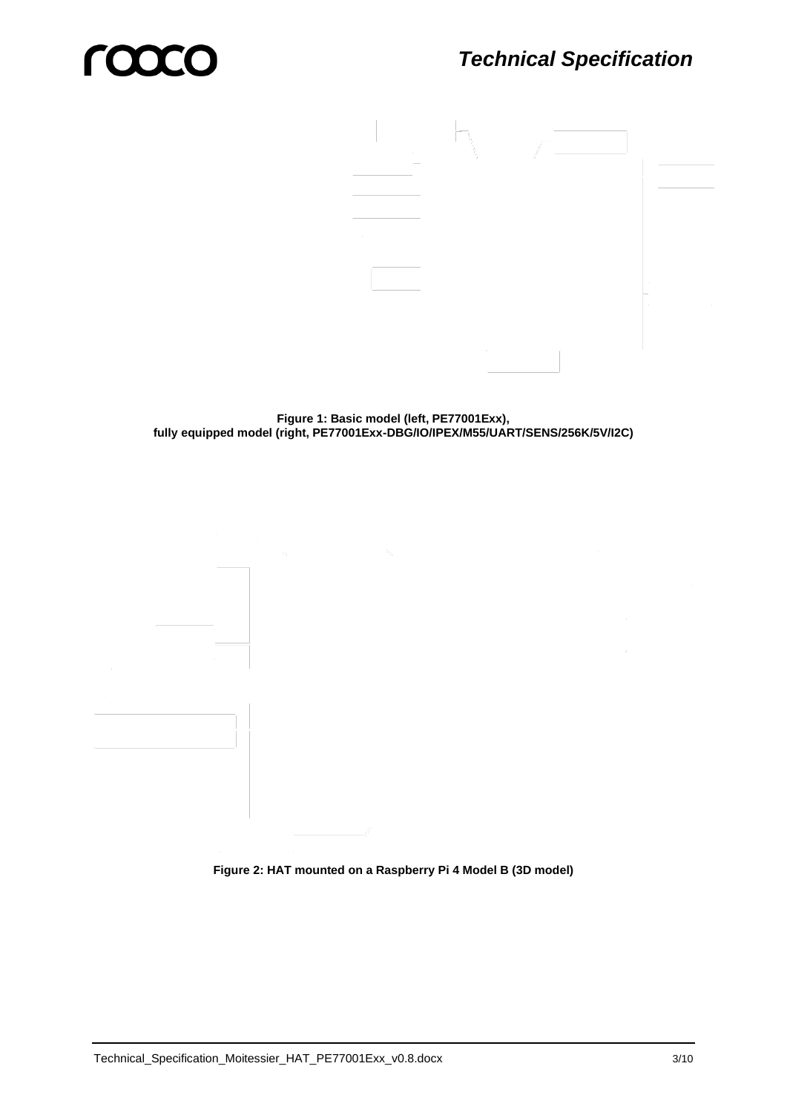

**Figure 1: Basic model (left, PE77001Exx), fully equipped model (right, PE77001Exx-DBG/IO/IPEX/M55/UART/SENS/256K/5V/I2C)**

**Figure 2: HAT mounted on a Raspberry Pi 4 Model B (3D model)**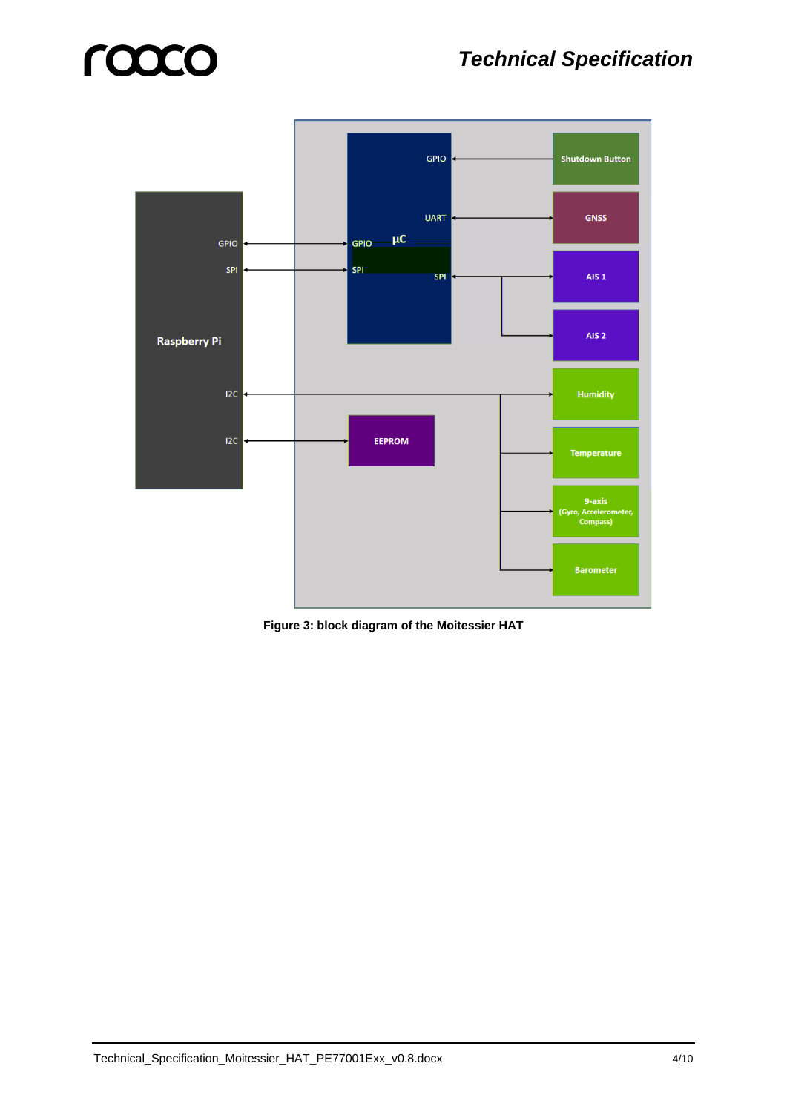### *Technical Specification*



**Figure 3: block diagram of the Moitessier HAT**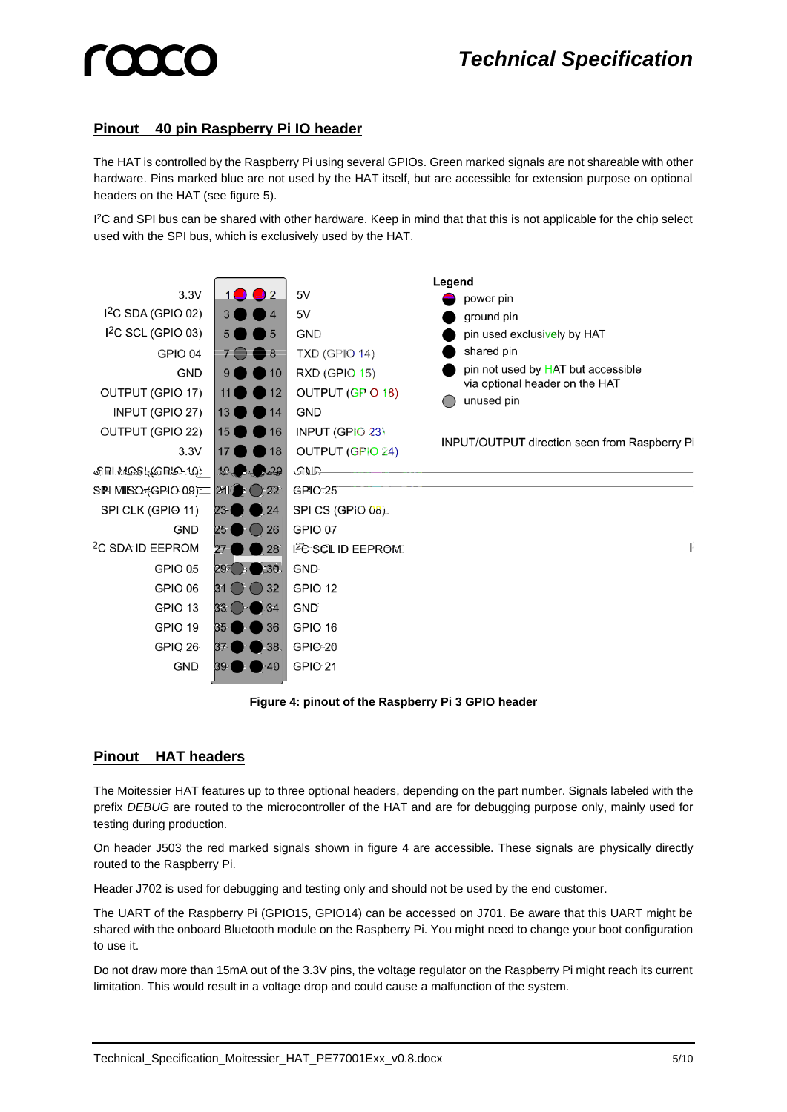#### **Pinout 40 pin Raspberry Pi IO header**

The HAT is controlled by the Raspberry Pi using several GPIOs. Green marked signals are not shareable with other hardware. Pins marked blue are not used by the HAT itself, but are accessible for extension purpose on optional headers on the HAT (see [figure 5\)](#page-5-0).

<sup>2</sup>C and SPI bus can be shared with other hardware. Keep in mind that that this is not applicable for the chip select used with the SPI bus, which is exclusively used by the HAT.



#### **Figure 4: pinout of the Raspberry Pi 3 GPIO header**

#### <span id="page-4-0"></span>**Pinout HAT headers**

The Moitessier HAT features up to three optional headers, depending on the part number. Signals labeled with the prefix *DEBUG* are routed to the microcontroller of the HAT and are for debugging purpose only, mainly used for testing during production.

On header J503 the red marked signals shown in [figure 4](#page-4-0) are accessible. These signals are physically directly routed to the Raspberry Pi.

Header J702 is used for debugging and testing only and should not be used by the end customer.

The UART of the Raspberry Pi (GPIO15, GPIO14) can be accessed on J701. Be aware that this UART might be shared with the onboard Bluetooth module on the Raspberry Pi. You might need to change your boot configuration to use it.

Do not draw more than 15mA out of the 3.3V pins, the voltage regulator on the Raspberry Pi might reach its current limitation. This would result in a voltage drop and could cause a malfunction of the system.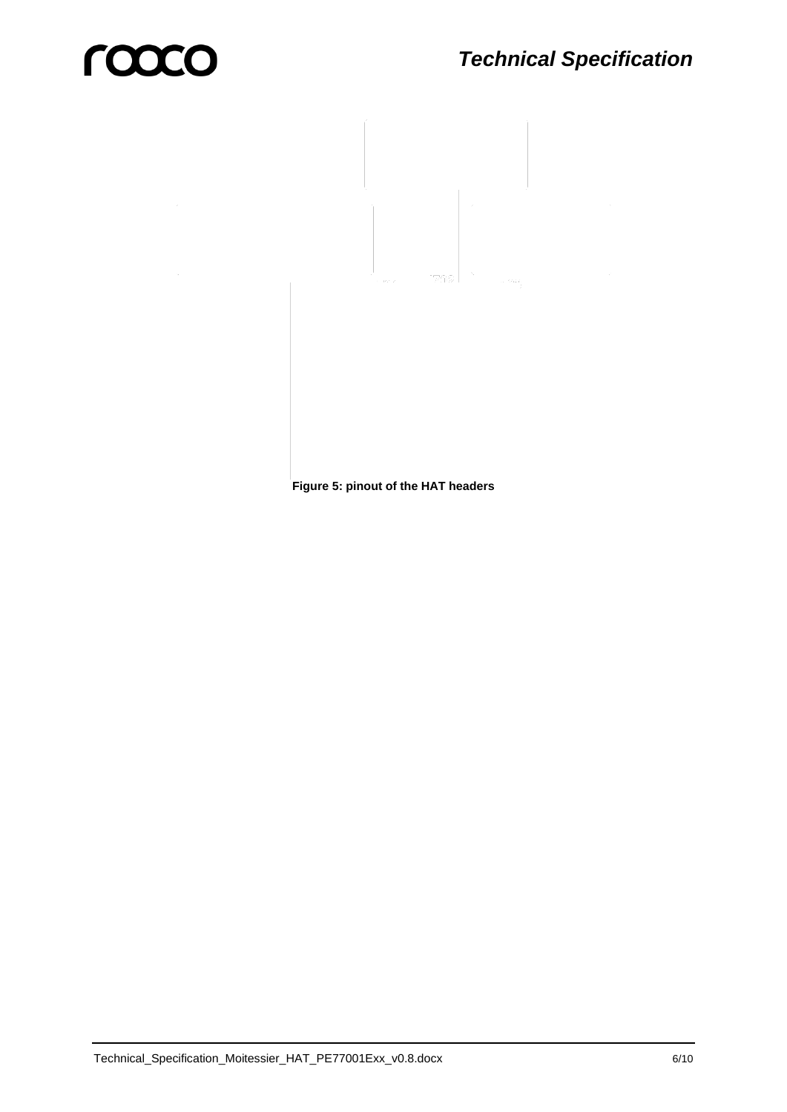<span id="page-5-0"></span>**Figure 5: pinout of the HAT headers**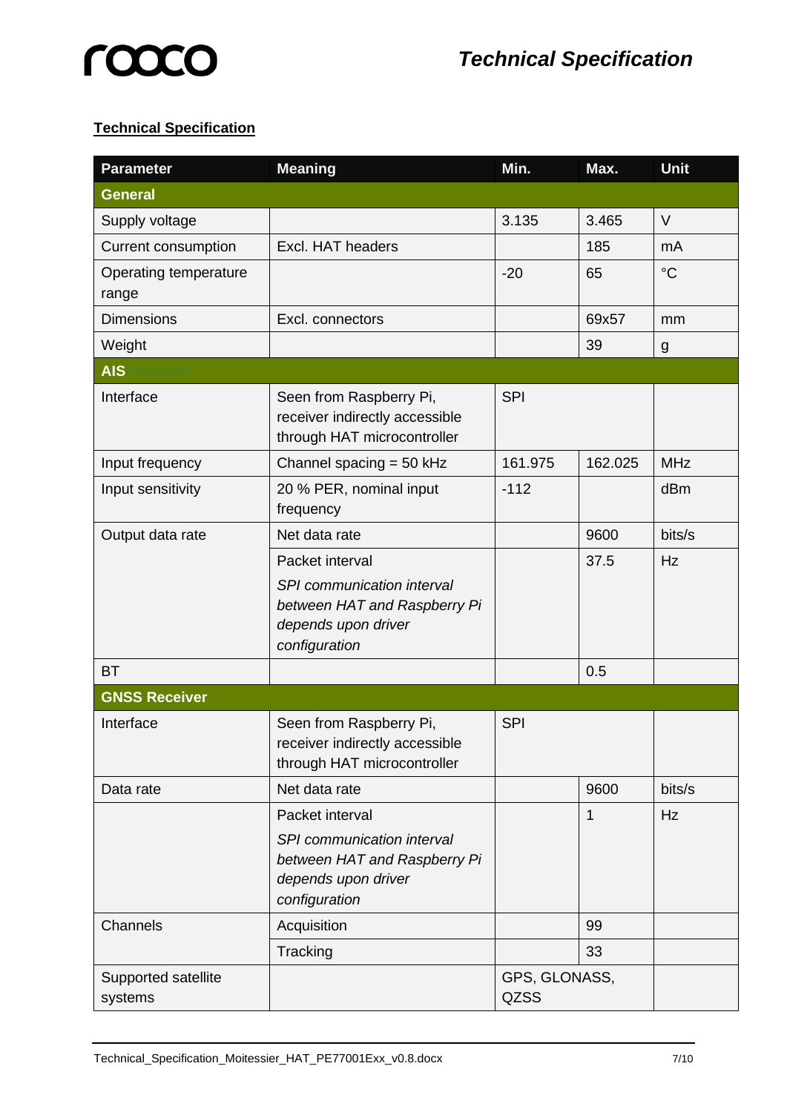# **LOOCO**

### **Technical Specification**

| <b>Parameter</b>               | <b>Meaning</b>                                                                                                        | Min.                         | Max.    | Unit            |
|--------------------------------|-----------------------------------------------------------------------------------------------------------------------|------------------------------|---------|-----------------|
| <b>General</b>                 |                                                                                                                       |                              |         |                 |
| Supply voltage                 |                                                                                                                       | 3.135                        | 3.465   | $\vee$          |
| <b>Current consumption</b>     | Excl. HAT headers                                                                                                     |                              | 185     | mA              |
| Operating temperature<br>range |                                                                                                                       | $-20$                        | 65      | $\rm ^{\circ}C$ |
| <b>Dimensions</b>              | Excl. connectors                                                                                                      |                              | 69x57   | mm              |
| Weight                         |                                                                                                                       |                              | 39      | g               |
| <b>AIS</b>                     |                                                                                                                       |                              |         |                 |
| Interface                      | Seen from Raspberry Pi,<br>receiver indirectly accessible<br>through HAT microcontroller                              | <b>SPI</b>                   |         |                 |
| Input frequency                | Channel spacing $=$ 50 kHz                                                                                            | 161.975                      | 162.025 | <b>MHz</b>      |
| Input sensitivity              | 20 % PER, nominal input<br>frequency                                                                                  | $-112$                       |         | dBm             |
| Output data rate               | Net data rate                                                                                                         |                              | 9600    | bits/s          |
|                                | Packet interval<br>SPI communication interval<br>between HAT and Raspberry Pi<br>depends upon driver<br>configuration |                              | 37.5    | Hz              |
| <b>BT</b>                      |                                                                                                                       |                              | 0.5     |                 |
| <b>GNSS Receiver</b>           |                                                                                                                       |                              |         |                 |
| Interface                      | Seen from Raspberry Pi,<br>receiver indirectly accessible<br>through HAT microcontroller                              | <b>SPI</b>                   |         |                 |
| Data rate                      | Net data rate                                                                                                         |                              | 9600    | bits/s          |
|                                | Packet interval<br>SPI communication interval<br>between HAT and Raspberry Pi<br>depends upon driver<br>configuration |                              | 1       | Hz              |
| Channels                       | Acquisition                                                                                                           |                              | 99      |                 |
|                                | Tracking                                                                                                              |                              | 33      |                 |
| Supported satellite<br>systems |                                                                                                                       | GPS, GLONASS,<br><b>QZSS</b> |         |                 |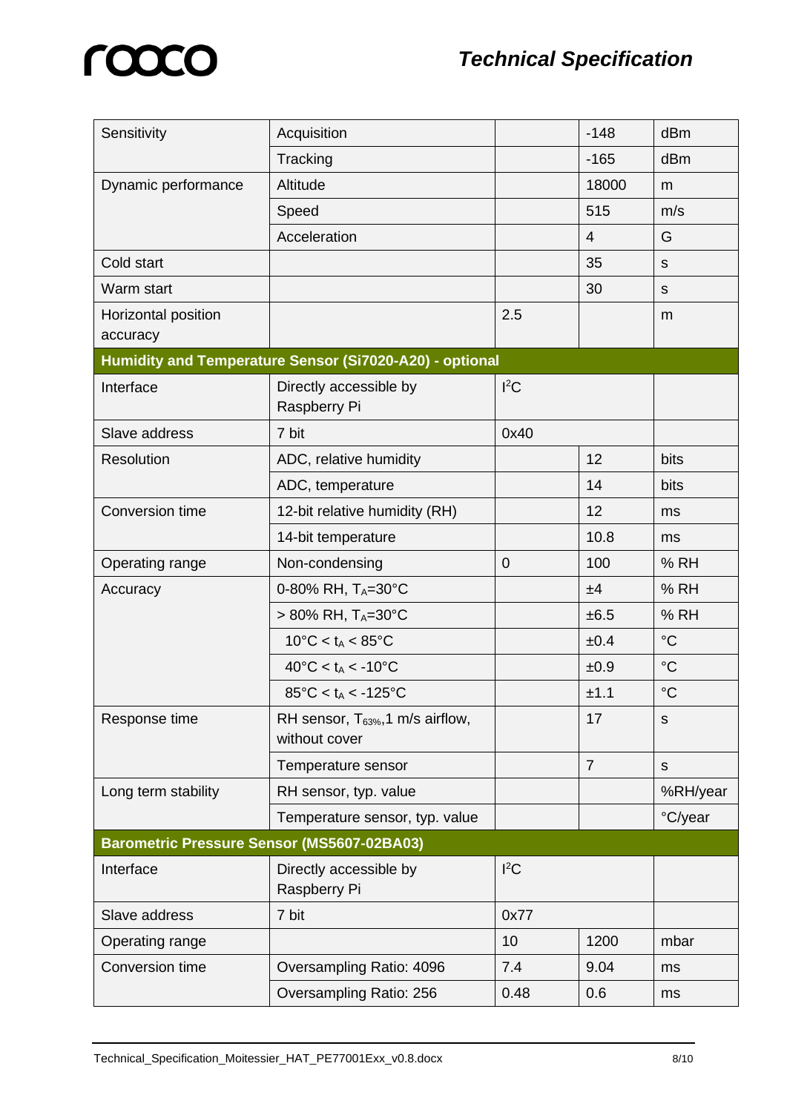| Sensitivity                                       | Acquisition                                             |                | $-148$         | dBm             |  |
|---------------------------------------------------|---------------------------------------------------------|----------------|----------------|-----------------|--|
|                                                   | Tracking                                                |                | $-165$         | dBm             |  |
| Dynamic performance                               | Altitude                                                |                | 18000          | m               |  |
|                                                   | Speed                                                   |                | 515            | m/s             |  |
|                                                   | Acceleration                                            |                | $\overline{4}$ | G               |  |
| Cold start                                        |                                                         |                | 35             | $\mathbf S$     |  |
| Warm start                                        |                                                         |                | 30             | S               |  |
| Horizontal position<br>accuracy                   |                                                         | 2.5            |                | m               |  |
|                                                   | Humidity and Temperature Sensor (Si7020-A20) - optional |                |                |                 |  |
| Interface                                         | Directly accessible by<br>Raspberry Pi                  | ${}^{12}C$     |                |                 |  |
| Slave address                                     | 7 bit                                                   | 0x40           |                |                 |  |
| Resolution                                        | ADC, relative humidity                                  |                | 12             | bits            |  |
|                                                   | ADC, temperature                                        |                | 14             | bits            |  |
| Conversion time                                   | 12-bit relative humidity (RH)                           |                | 12             | ms              |  |
|                                                   | 14-bit temperature                                      |                | 10.8           | ms              |  |
| Operating range                                   | Non-condensing                                          | $\overline{0}$ | 100            | % RH            |  |
| Accuracy                                          | 0-80% RH, TA=30°C                                       |                | ±4             | % RH            |  |
|                                                   | $> 80\%$ RH, TA=30°C                                    |                | ±6.5           | % RH            |  |
|                                                   | $10^{\circ}$ C < t <sub>A</sub> < 85 $^{\circ}$ C       |                | ±0.4           | $\rm ^{\circ}C$ |  |
|                                                   | $40^{\circ}$ C < t <sub>A</sub> < -10 $^{\circ}$ C      |                | ±0.9           | $\rm ^{\circ}C$ |  |
|                                                   | $85^{\circ}$ C < t <sub>A</sub> < -125 $^{\circ}$ C     |                | ±1.1           | $\rm ^{\circ}C$ |  |
| Response time                                     | RH sensor, $T_{63\%}$ , 1 m/s airflow,<br>without cover |                | 17             | S               |  |
|                                                   | Temperature sensor                                      |                | $\overline{7}$ | $\mathsf S$     |  |
| Long term stability                               | RH sensor, typ. value                                   |                |                | %RH/year        |  |
|                                                   | Temperature sensor, typ. value                          |                |                | °C/year         |  |
| <b>Barometric Pressure Sensor (MS5607-02BA03)</b> |                                                         |                |                |                 |  |
| Interface                                         | Directly accessible by<br>Raspberry Pi                  | $l^2C$         |                |                 |  |
| Slave address                                     | 7 bit<br>0x77                                           |                |                |                 |  |
| Operating range                                   |                                                         | 10             | 1200           | mbar            |  |
| Conversion time                                   | Oversampling Ratio: 4096                                | 7.4            | 9.04           | ms              |  |
|                                                   | Oversampling Ratio: 256                                 | 0.48           | 0.6            | ms              |  |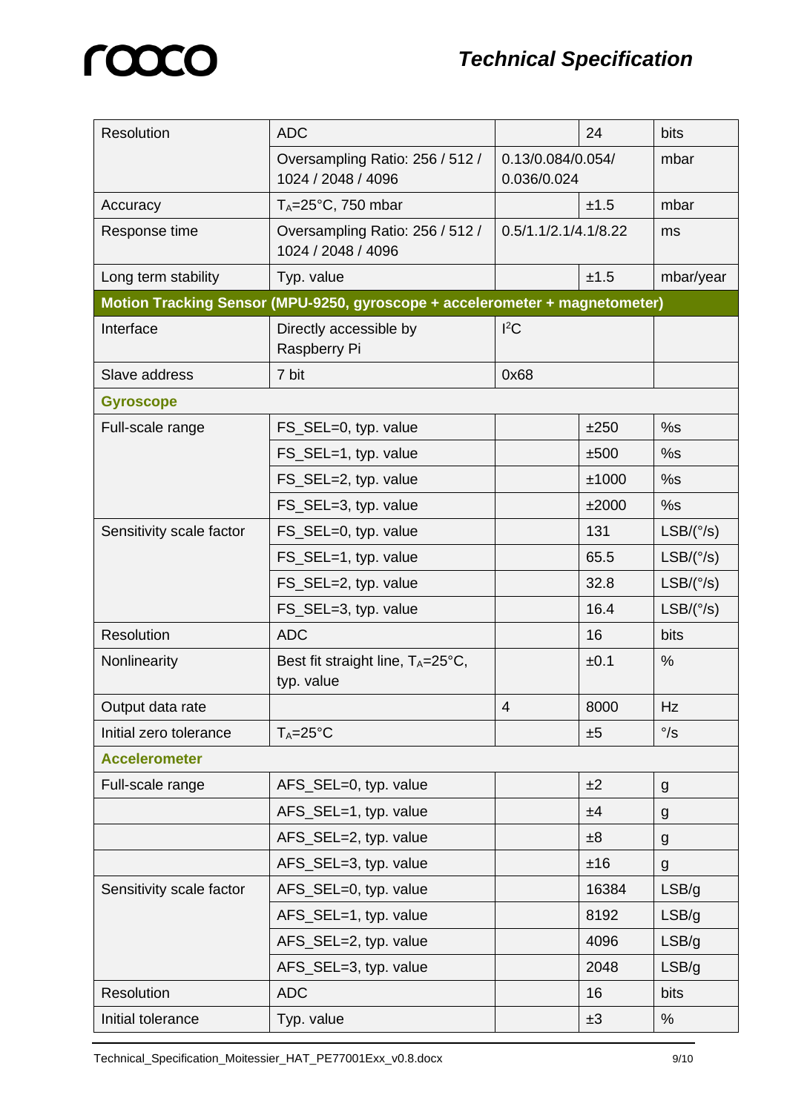| Resolution               | <b>ADC</b>                                                                  |                                  | 24    | bits                |
|--------------------------|-----------------------------------------------------------------------------|----------------------------------|-------|---------------------|
|                          | Oversampling Ratio: 256 / 512 /<br>1024 / 2048 / 4096                       | 0.13/0.084/0.054/<br>0.036/0.024 |       | mbar                |
| Accuracy                 | $T_A = 25^{\circ}C$ , 750 mbar                                              |                                  | ±1.5  | mbar                |
| Response time            | Oversampling Ratio: 256 / 512 /<br>1024 / 2048 / 4096                       | 0.5/1.1/2.1/4.1/8.22             |       | ms                  |
| Long term stability      | Typ. value                                                                  |                                  | ±1.5  | mbar/year           |
|                          | Motion Tracking Sensor (MPU-9250, gyroscope + accelerometer + magnetometer) |                                  |       |                     |
| Interface                | Directly accessible by<br>Raspberry Pi                                      | $l^2C$                           |       |                     |
| Slave address            | 7 bit<br>0x68                                                               |                                  |       |                     |
| <b>Gyroscope</b>         |                                                                             |                                  |       |                     |
| Full-scale range         | FS_SEL=0, typ. value                                                        |                                  | ±250  | %s                  |
|                          | FS_SEL=1, typ. value                                                        |                                  | ±500  | %s                  |
|                          | FS_SEL=2, typ. value                                                        |                                  | ±1000 | %s                  |
|                          | FS_SEL=3, typ. value                                                        |                                  | ±2000 | %s                  |
| Sensitivity scale factor | FS_SEL=0, typ. value                                                        |                                  | 131   | $LSB/({\degree}/s)$ |
|                          | FS_SEL=1, typ. value                                                        |                                  | 65.5  | $LSB/({\degree}/s)$ |
|                          | FS_SEL=2, typ. value                                                        |                                  | 32.8  | $LSB/({\degree}/s)$ |
|                          | FS_SEL=3, typ. value                                                        |                                  | 16.4  | $LSB/({\degree}/s)$ |
| Resolution               | <b>ADC</b>                                                                  |                                  | 16    | <b>bits</b>         |
| Nonlinearity             | Best fit straight line, $T_A = 25^\circ \text{C}$ ,<br>typ. value           |                                  | ±0.1  | %                   |
| Output data rate         |                                                                             | $\overline{4}$                   | 8000  | Hz                  |
| Initial zero tolerance   | $T_A = 25$ °C                                                               |                                  | ±5    | $\degree$ /s        |
| <b>Accelerometer</b>     |                                                                             |                                  |       |                     |
| Full-scale range         | AFS_SEL=0, typ. value                                                       |                                  | ±2    | g                   |
|                          | AFS_SEL=1, typ. value                                                       |                                  | ±4    | g                   |
|                          | AFS_SEL=2, typ. value                                                       |                                  | ±8    | g                   |
|                          | AFS_SEL=3, typ. value                                                       |                                  | ±16   | g                   |
| Sensitivity scale factor | AFS_SEL=0, typ. value                                                       |                                  | 16384 | LSB/g               |
|                          | AFS_SEL=1, typ. value                                                       |                                  | 8192  | LSB/g               |
|                          | AFS_SEL=2, typ. value                                                       |                                  | 4096  | LSB/g               |
|                          | AFS_SEL=3, typ. value                                                       |                                  | 2048  | LSB/g               |
| Resolution               | <b>ADC</b>                                                                  |                                  | 16    | bits                |
| Initial tolerance        | Typ. value                                                                  |                                  | ±3    | %                   |